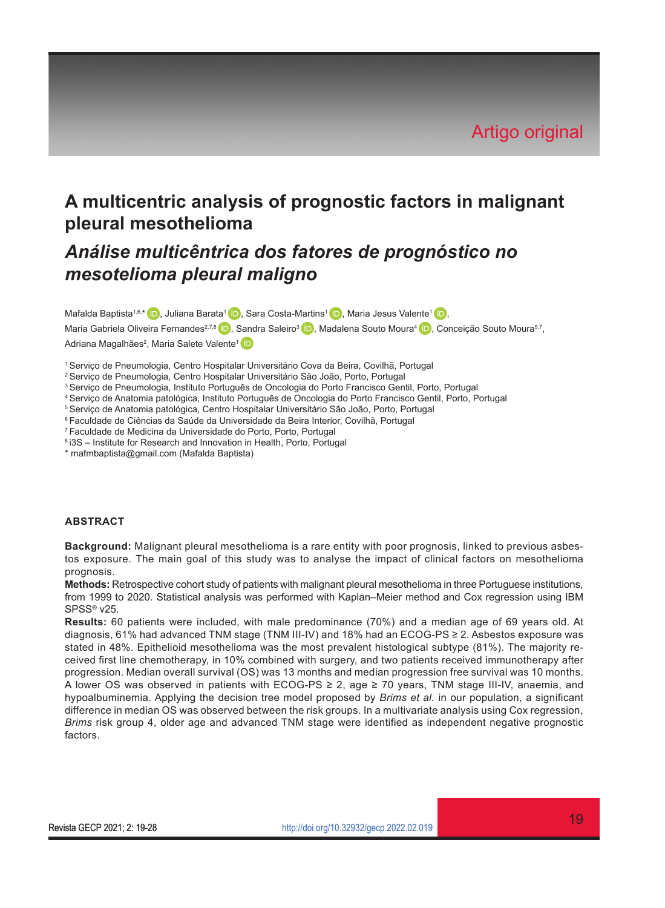# **A multicentric analysis of prognostic factors in malignant pleural mesothelioma**

# *Análise multicêntrica dos fatores de prognóstico no mesotelioma pleural maligno*

Mafalda Baptista<sup>1[,](https://orcid.org/0000-0002-0426-5941)6,\*</sup> D, Juliana Barata<sup>1</sup> D, Sara Costa-Martins<sup>1</sup> D, Maria Jesus Valente<sup>1</sup> D,

Maria Gabriela Oliveira Fernandes<sup>2,7,8</sup> D, Sandra Saleiro<sup>3</sup> D, Madalena Souto Moura<sup>4</sup> D, Conceição Souto Moura<sup>5,7</sup>, Adriana Magalhães<sup>2</sup>, Maria Salete Valente<sup>1</sup>

1 Serviço de Pneumologia, Centro Hospitalar Universitário Cova da Beira, Covilhã, Portugal

- 2 Serviço de Pneumologia, Centro Hospitalar Universitário São João, Porto, Portugal
- 3 Serviço de Pneumologia, Instituto Português de Oncologia do Porto Francisco Gentil, Porto, Portugal
- 4 Serviço de Anatomia patológica, Instituto Português de Oncologia do Porto Francisco Gentil, Porto, Portugal
- 5 Serviço de Anatomia patológica, Centro Hospitalar Universitário São João, Porto, Portugal
- 6 Faculdade de Ciências da Saúde da Universidade da Beira Interior, Covilhã, Portugal
- 7 Faculdade de Medicina da Universidade do Porto, Porto, Portugal
- 8 i3S Institute for Research and Innovation in Health, Porto, Portugal
- \* mafmbaptista@gmail.com (Mafalda Baptista)

#### **ABSTRACT**

**Background:** Malignant pleural mesothelioma is a rare entity with poor prognosis, linked to previous asbestos exposure. The main goal of this study was to analyse the impact of clinical factors on mesothelioma prognosis.

**Methods:** Retrospective cohort study of patients with malignant pleural mesothelioma in three Portuguese institutions, from 1999 to 2020. Statistical analysis was performed with Kaplan–Meier method and Cox regression using IBM SPSS® v25.

**Results:** 60 patients were included, with male predominance (70%) and a median age of 69 years old. At diagnosis, 61% had advanced TNM stage (TNM III-IV) and 18% had an ECOG-PS ≥ 2. Asbestos exposure was stated in 48%. Epithelioid mesothelioma was the most prevalent histological subtype (81%). The majority received first line chemotherapy, in 10% combined with surgery, and two patients received immunotherapy after progression. Median overall survival (OS) was 13 months and median progression free survival was 10 months. A lower OS was observed in patients with ECOG-PS ≥ 2, age ≥ 70 years, TNM stage III-IV, anaemia, and hypoalbuminemia. Applying the decision tree model proposed by *Brims et al.* in our population, a significant difference in median OS was observed between the risk groups. In a multivariate analysis using Cox regression, *Brims* risk group 4, older age and advanced TNM stage were identified as independent negative prognostic factors.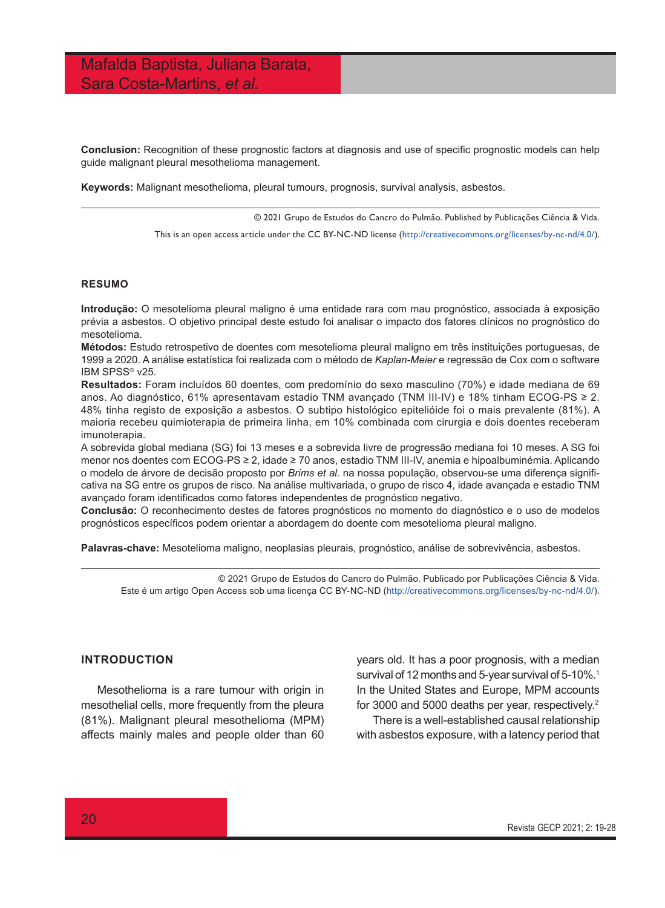**Conclusion:** Recognition of these prognostic factors at diagnosis and use of specific prognostic models can help guide malignant pleural mesothelioma management.

**Keywords:** Malignant mesothelioma, pleural tumours, prognosis, survival analysis, asbestos.

© 2021 Grupo de Estudos do Cancro do Pulmão. Published by Publicações Ciência & Vida.

This is an open access article under the CC BY-NC-ND license (<http://creativecommons.org/licenses/by-nc-nd/4.0/>).

#### **RESUMO**

**Introdução:** O mesotelioma pleural maligno é uma entidade rara com mau prognóstico, associada à exposição prévia a asbestos. O objetivo principal deste estudo foi analisar o impacto dos fatores clínicos no prognóstico do mesotelioma.

**Métodos:** Estudo retrospetivo de doentes com mesotelioma pleural maligno em três instituições portuguesas, de 1999 a 2020. A análise estatística foi realizada com o método de *Kaplan-Meier* e regressão de Cox com o software IBM SPSS® v25.

**Resultados:** Foram incluídos 60 doentes, com predomínio do sexo masculino (70%) e idade mediana de 69 anos. Ao diagnóstico, 61% apresentavam estadio TNM avançado (TNM III-IV) e 18% tinham ECOG-PS ≥ 2. 48% tinha registo de exposição a asbestos. O subtipo histológico epitelióide foi o mais prevalente (81%). A maioria recebeu quimioterapia de primeira linha, em 10% combinada com cirurgia e dois doentes receberam imunoterapia.

A sobrevida global mediana (SG) foi 13 meses e a sobrevida livre de progressão mediana foi 10 meses. A SG foi menor nos doentes com ECOG-PS ≥ 2, idade ≥ 70 anos, estadio TNM III-IV, anemia e hipoalbuminémia. Aplicando o modelo de árvore de decisão proposto por *Brims et al.* na nossa população, observou-se uma diferença significativa na SG entre os grupos de risco. Na análise multivariada, o grupo de risco 4, idade avançada e estadio TNM avançado foram identificados como fatores independentes de prognóstico negativo.

**Conclusão:** O reconhecimento destes de fatores prognósticos no momento do diagnóstico e o uso de modelos prognósticos específicos podem orientar a abordagem do doente com mesotelioma pleural maligno.

**Palavras-chave:** Mesotelioma maligno, neoplasias pleurais, prognóstico, análise de sobrevivência, asbestos.

© 2021 Grupo de Estudos do Cancro do Pulmão. Publicado por Publicações Ciência & Vida. Este é um artigo Open Access sob uma licença CC BY-NC-ND ([http://creativecommons.org/licenses/by-nc-nd/4.0/\)](http://creativecommons.org/licenses/by-nc-nd/4.0/).

### **INTRODUCTION**

Mesothelioma is a rare tumour with origin in mesothelial cells, more frequently from the pleura (81%). Malignant pleural mesothelioma (MPM) affects mainly males and people older than 60

years old. It has a poor prognosis, with a median survival of 12 months and 5-year survival of 5-10%.<sup>1</sup> In the United States and Europe, MPM accounts for 3000 and 5000 deaths per year, respectively.2 There is a well-established causal relationship with asbestos exposure, with a latency period that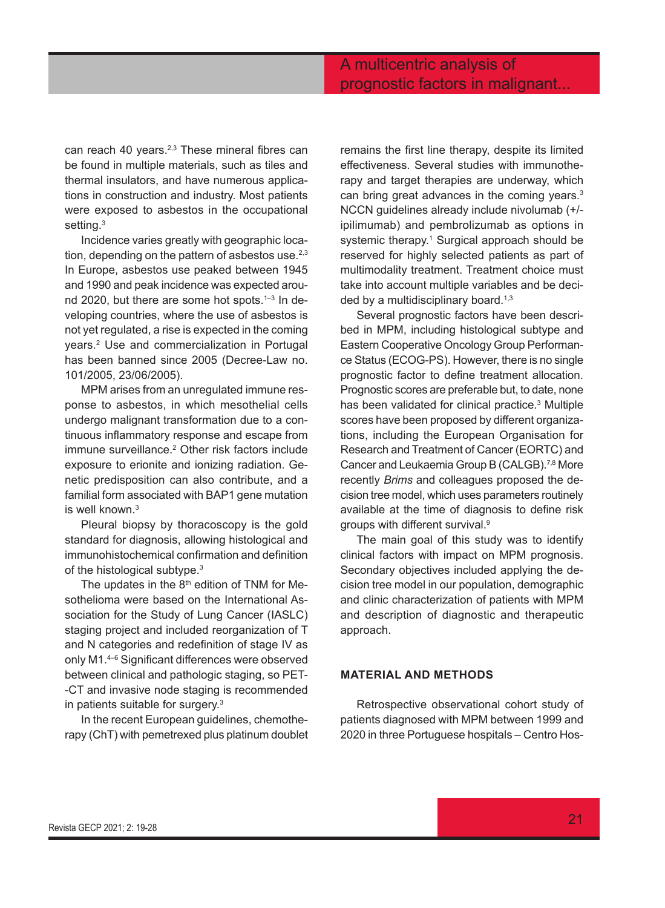can reach 40 years.<sup>2,3</sup> These mineral fibres can be found in multiple materials, such as tiles and thermal insulators, and have numerous applications in construction and industry. Most patients were exposed to asbestos in the occupational setting. $^3$ 

Incidence varies greatly with geographic location, depending on the pattern of asbestos use. $2,3$ In Europe, asbestos use peaked between 1945 and 1990 and peak incidence was expected around 2020, but there are some hot spots.<sup>1-3</sup> In developing countries, where the use of asbestos is not yet regulated, a rise is expected in the coming years.2 Use and commercialization in Portugal has been banned since 2005 (Decree-Law no. 101/2005, 23/06/2005).

MPM arises from an unregulated immune response to asbestos, in which mesothelial cells undergo malignant transformation due to a continuous inflammatory response and escape from immune surveillance.2 Other risk factors include exposure to erionite and ionizing radiation. Genetic predisposition can also contribute, and a familial form associated with BAP1 gene mutation is well known  $3$ 

Pleural biopsy by thoracoscopy is the gold standard for diagnosis, allowing histological and immunohistochemical confirmation and definition of the histological subtype.<sup>3</sup>

The updates in the 8<sup>th</sup> edition of TNM for Mesothelioma were based on the International Association for the Study of Lung Cancer (IASLC) staging project and included reorganization of T and N categories and redefinition of stage IV as only M1.4–6 Significant differences were observed between clinical and pathologic staging, so PET- -CT and invasive node staging is recommended in patients suitable for surgery.3

In the recent European guidelines, chemotherapy (ChT) with pemetrexed plus platinum doublet remains the first line therapy, despite its limited effectiveness. Several studies with immunotherapy and target therapies are underway, which can bring great advances in the coming years.3 NCCN guidelines already include nivolumab (+/ ipilimumab) and pembrolizumab as options in systemic therapy.<sup>1</sup> Surgical approach should be reserved for highly selected patients as part of multimodality treatment. Treatment choice must take into account multiple variables and be decided by a multidisciplinary board.<sup>1,3</sup>

Several prognostic factors have been described in MPM, including histological subtype and Eastern Cooperative Oncology Group Performance Status (ECOG-PS). However, there is no single prognostic factor to define treatment allocation. Prognostic scores are preferable but, to date, none has been validated for clinical practice.<sup>3</sup> Multiple scores have been proposed by different organizations, including the European Organisation for Research and Treatment of Cancer (EORTC) and Cancer and Leukaemia Group B (CALGB).7,8 More recently *Brims* and colleagues proposed the decision tree model, which uses parameters routinely available at the time of diagnosis to define risk groups with different survival.9

The main goal of this study was to identify clinical factors with impact on MPM prognosis. Secondary objectives included applying the decision tree model in our population, demographic and clinic characterization of patients with MPM and description of diagnostic and therapeutic approach.

### **MATERIAL AND METHODS**

Retrospective observational cohort study of patients diagnosed with MPM between 1999 and 2020 in three Portuguese hospitals – Centro Hos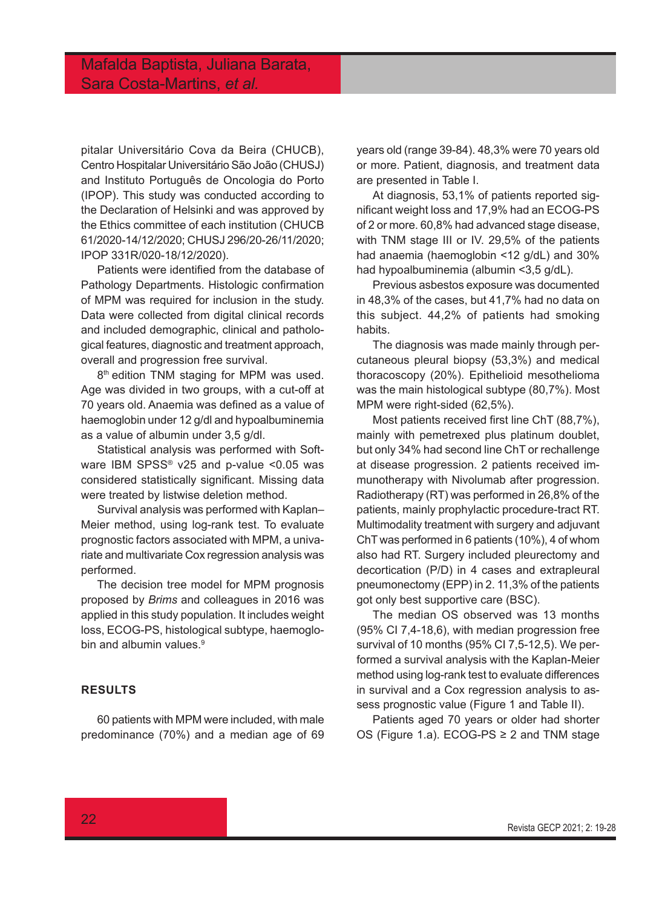pitalar Universitário Cova da Beira (CHUCB), Centro Hospitalar Universitário São João (CHUSJ) and Instituto Português de Oncologia do Porto (IPOP). This study was conducted according to the Declaration of Helsinki and was approved by the Ethics committee of each institution (CHUCB 61/2020-14/12/2020; CHUSJ 296/20-26/11/2020; IPOP 331R/020-18/12/2020).

Patients were identified from the database of Pathology Departments. Histologic confirmation of MPM was required for inclusion in the study. Data were collected from digital clinical records and included demographic, clinical and pathological features, diagnostic and treatment approach, overall and progression free survival.

8<sup>th</sup> edition TNM staging for MPM was used. Age was divided in two groups, with a cut-off at 70 years old. Anaemia was defined as a value of haemoglobin under 12 g/dl and hypoalbuminemia as a value of albumin under 3,5 g/dl.

Statistical analysis was performed with Software IBM SPSS® v25 and p-value <0.05 was considered statistically significant. Missing data were treated by listwise deletion method.

Survival analysis was performed with Kaplan– Meier method, using log-rank test. To evaluate prognostic factors associated with MPM, a univariate and multivariate Cox regression analysis was performed.

The decision tree model for MPM prognosis proposed by *Brims* and colleagues in 2016 was applied in this study population. It includes weight loss, ECOG-PS, histological subtype, haemoglobin and albumin values.<sup>9</sup>

### **RESULTS**

60 patients with MPM were included, with male predominance (70%) and a median age of 69 years old (range 39-84). 48,3% were 70 years old or more. Patient, diagnosis, and treatment data are presented in Table I.

At diagnosis, 53,1% of patients reported significant weight loss and 17,9% had an ECOG-PS of 2 or more. 60,8% had advanced stage disease, with TNM stage III or IV. 29,5% of the patients had anaemia (haemoglobin <12 g/dL) and 30% had hypoalbuminemia (albumin <3,5 g/dL).

Previous asbestos exposure was documented in 48,3% of the cases, but 41,7% had no data on this subject. 44,2% of patients had smoking habits.

The diagnosis was made mainly through percutaneous pleural biopsy (53,3%) and medical thoracoscopy (20%). Epithelioid mesothelioma was the main histological subtype (80,7%). Most MPM were right-sided (62,5%).

Most patients received first line ChT (88,7%), mainly with pemetrexed plus platinum doublet, but only 34% had second line ChT or rechallenge at disease progression. 2 patients received immunotherapy with Nivolumab after progression. Radiotherapy (RT) was performed in 26,8% of the patients, mainly prophylactic procedure-tract RT. Multimodality treatment with surgery and adjuvant ChT was performed in 6 patients (10%), 4 of whom also had RT. Surgery included pleurectomy and decortication (P/D) in 4 cases and extrapleural pneumonectomy (EPP) in 2. 11,3% of the patients got only best supportive care (BSC).

The median OS observed was 13 months (95% CI 7,4-18,6), with median progression free survival of 10 months (95% CI 7,5-12,5). We performed a survival analysis with the Kaplan-Meier method using log-rank test to evaluate differences in survival and a Cox regression analysis to assess prognostic value (Figure 1 and Table II).

Patients aged 70 years or older had shorter OS (Figure 1.a). ECOG-PS ≥ 2 and TNM stage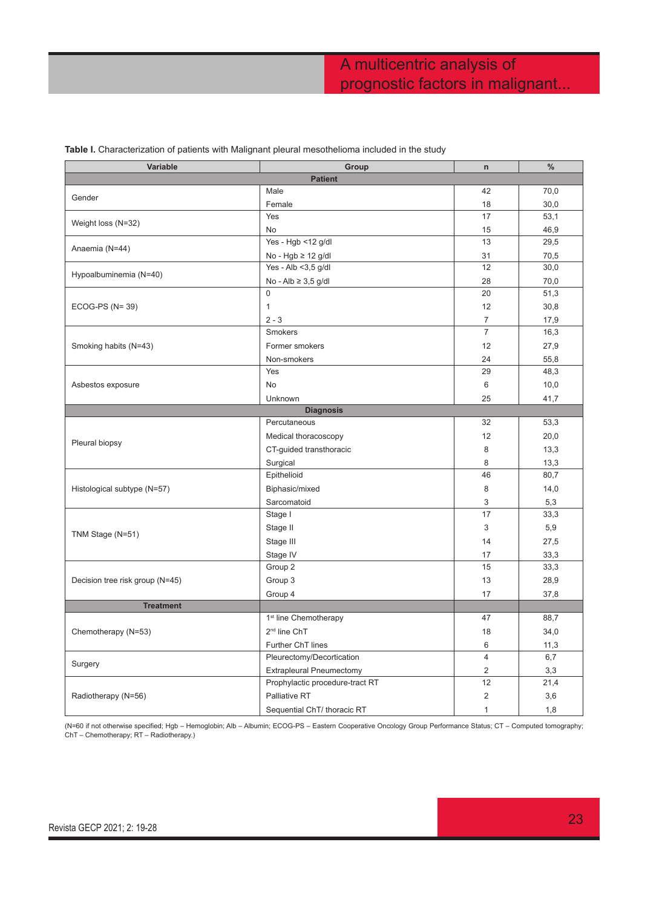| Variable                        | Group                             | $\mathsf{n}$   | $\%$ |  |  |  |  |  |
|---------------------------------|-----------------------------------|----------------|------|--|--|--|--|--|
| <b>Patient</b>                  |                                   |                |      |  |  |  |  |  |
| Gender                          | Male                              | 42             | 70,0 |  |  |  |  |  |
|                                 | Female                            | 18             | 30,0 |  |  |  |  |  |
|                                 | Yes                               | 17             | 53,1 |  |  |  |  |  |
| Weight loss (N=32)              | No                                | 15             | 46,9 |  |  |  |  |  |
|                                 | Yes - Hgb <12 g/dl                | 13             | 29,5 |  |  |  |  |  |
| Anaemia (N=44)                  | No - Hgb $\geq$ 12 g/dl           | 31             | 70,5 |  |  |  |  |  |
| Hypoalbuminemia (N=40)          | Yes - Alb <3,5 g/dl               | 12             | 30,0 |  |  |  |  |  |
|                                 | No - Alb $\geq 3.5$ g/dl          | 28             | 70,0 |  |  |  |  |  |
| $ECOG-PS (N=39)$                | $\mathbf 0$                       | 20             | 51,3 |  |  |  |  |  |
|                                 | 1                                 | 12             | 30,8 |  |  |  |  |  |
|                                 | $2 - 3$                           | $\overline{7}$ | 17,9 |  |  |  |  |  |
| Smoking habits (N=43)           | Smokers                           | $\overline{7}$ | 16,3 |  |  |  |  |  |
|                                 | Former smokers                    | 12             | 27,9 |  |  |  |  |  |
|                                 | Non-smokers                       | 24             | 55,8 |  |  |  |  |  |
|                                 | Yes                               | 29             | 48,3 |  |  |  |  |  |
| Asbestos exposure               | <b>No</b>                         | 6              | 10,0 |  |  |  |  |  |
|                                 | Unknown                           | 25             | 41,7 |  |  |  |  |  |
|                                 | <b>Diagnosis</b>                  |                |      |  |  |  |  |  |
|                                 | Percutaneous                      | 32             | 53,3 |  |  |  |  |  |
|                                 | Medical thoracoscopy              | 12             | 20,0 |  |  |  |  |  |
| Pleural biopsy                  | CT-guided transthoracic           | 8              | 13,3 |  |  |  |  |  |
|                                 | Surgical                          | 8              | 13,3 |  |  |  |  |  |
|                                 | Epithelioid                       | 46             | 80,7 |  |  |  |  |  |
| Histological subtype (N=57)     | Biphasic/mixed                    | 8              | 14,0 |  |  |  |  |  |
|                                 | Sarcomatoid                       | 3              | 5,3  |  |  |  |  |  |
|                                 | Stage I                           | 17             | 33,3 |  |  |  |  |  |
|                                 | Stage II                          | 3              | 5,9  |  |  |  |  |  |
| TNM Stage (N=51)                | Stage III                         | 14             | 27,5 |  |  |  |  |  |
|                                 | Stage IV                          | 17             | 33,3 |  |  |  |  |  |
| Decision tree risk group (N=45) | Group 2                           | 15             | 33,3 |  |  |  |  |  |
|                                 | Group 3                           | 13             | 28,9 |  |  |  |  |  |
|                                 | Group 4                           | 17             | 37,8 |  |  |  |  |  |
| <b>Treatment</b>                |                                   |                |      |  |  |  |  |  |
|                                 | 1 <sup>st</sup> line Chemotherapy | 47             | 88,7 |  |  |  |  |  |
| Chemotherapy (N=53)             | 2 <sup>nd</sup> line ChT          | 18             | 34,0 |  |  |  |  |  |
|                                 | Further ChT lines                 | 6              | 11,3 |  |  |  |  |  |
|                                 | Pleurectomy/Decortication         | $\overline{4}$ | 6,7  |  |  |  |  |  |
| Surgery                         | <b>Extrapleural Pneumectomy</b>   | $\overline{c}$ | 3,3  |  |  |  |  |  |
| Radiotherapy (N=56)             | Prophylactic procedure-tract RT   | 12             | 21,4 |  |  |  |  |  |
|                                 | Palliative RT                     | $\overline{2}$ | 3,6  |  |  |  |  |  |
|                                 | Sequential ChT/ thoracic RT       | 1              | 1,8  |  |  |  |  |  |

### **Table I.** Characterization of patients with Malignant pleural mesothelioma included in the study

(N=60 if not otherwise specified; Hgb – Hemoglobin; Alb – Albumin; ECOG-PS – Eastern Cooperative Oncology Group Performance Status; CT – Computed tomography; ChT – Chemotherapy; RT – Radiotherapy.)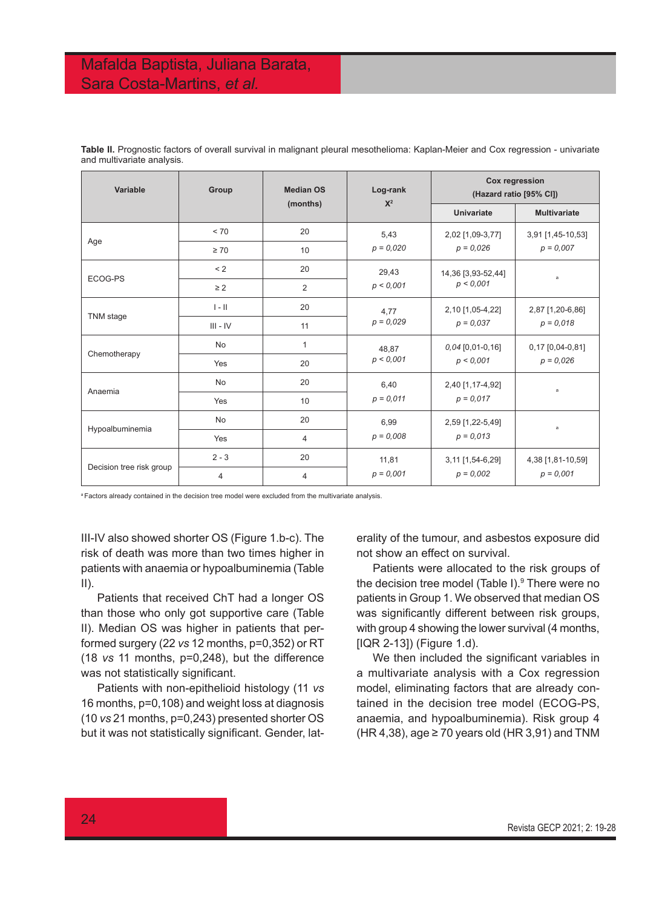## Mafalda Baptista, Juliana Barata, Sara Costa-Martins, *et al.*

| Variable                 | Group      | <b>Median OS</b><br>(months) | Log-rank<br>$X^2$    | Cox regression<br>(Hazard ratio [95% CI]) |                                  |
|--------------------------|------------|------------------------------|----------------------|-------------------------------------------|----------------------------------|
|                          |            |                              |                      | Univariate                                | <b>Multivariate</b>              |
| Age                      | < 70       | 20                           | 5,43<br>$p = 0,020$  | 2,02 [1,09-3,77]                          | 3,91 [1,45-10,53]                |
|                          | $\geq 70$  | 10                           |                      | $p = 0.026$                               | $p = 0.007$                      |
| ECOG-PS                  | < 2        | 20                           | 29,43                | 14,36 [3,93-52,44]                        | a                                |
|                          | $\geq$ 2   | $\overline{2}$               | p < 0,001            | p < 0.001                                 |                                  |
| TNM stage                | $I - II$   | 20                           | 4,77<br>$p = 0.029$  | 2,10 [1,05-4,22]<br>$p = 0.037$           | 2,87 [1,20-6,86]<br>$p = 0.018$  |
|                          | $III - IV$ | 11                           |                      |                                           |                                  |
| Chemotherapy             | No         | $\mathbf{1}$                 | 48,87<br>p < 0.001   | $0,04$ [0,01-0,16]<br>p < 0.001           | 0,17 [0,04-0,81]<br>$p = 0.026$  |
|                          | Yes        | 20                           |                      |                                           |                                  |
| Anaemia                  | <b>No</b>  | 20                           | 6,40<br>$p = 0.011$  | 2,40 [1,17-4,92]<br>$p = 0.017$           | a                                |
|                          | Yes        | 10                           |                      |                                           |                                  |
| Hypoalbuminemia          | No         | 20                           | 6,99<br>$p = 0,008$  | 2,59 [1,22-5,49]<br>$p = 0.013$           | a                                |
|                          | Yes        | 4                            |                      |                                           |                                  |
| Decision tree risk group | $2 - 3$    | 20                           | 11,81<br>$p = 0.001$ | 3,11 [1,54-6,29]                          | 4,38 [1,81-10,59]<br>$p = 0.001$ |
|                          | 4          | $\overline{4}$               |                      | $p = 0.002$                               |                                  |

**Table II.** Prognostic factors of overall survival in malignant pleural mesothelioma: Kaplan-Meier and Cox regression - univariate and multivariate analysis.

<sup>a</sup> Factors already contained in the decision tree model were excluded from the multivariate analysis.

III-IV also showed shorter OS (Figure 1.b-c). The risk of death was more than two times higher in patients with anaemia or hypoalbuminemia (Table  $II$ ).

Patients that received ChT had a longer OS than those who only got supportive care (Table II). Median OS was higher in patients that performed surgery (22 *vs* 12 months, p=0,352) or RT (18 *vs* 11 months, p=0,248), but the difference was not statistically significant.

Patients with non-epithelioid histology (11 *vs* 16 months, p=0,108) and weight loss at diagnosis (10 *vs* 21 months, p=0,243) presented shorter OS but it was not statistically significant. Gender, laterality of the tumour, and asbestos exposure did not show an effect on survival.

Patients were allocated to the risk groups of the decision tree model (Table I).<sup>9</sup> There were no patients in Group 1. We observed that median OS was significantly different between risk groups, with group 4 showing the lower survival (4 months, [IQR 2-13]) (Figure 1.d).

We then included the significant variables in a multivariate analysis with a Cox regression model, eliminating factors that are already contained in the decision tree model (ECOG-PS, anaemia, and hypoalbuminemia). Risk group 4 (HR 4,38), age  $\geq$  70 years old (HR 3,91) and TNM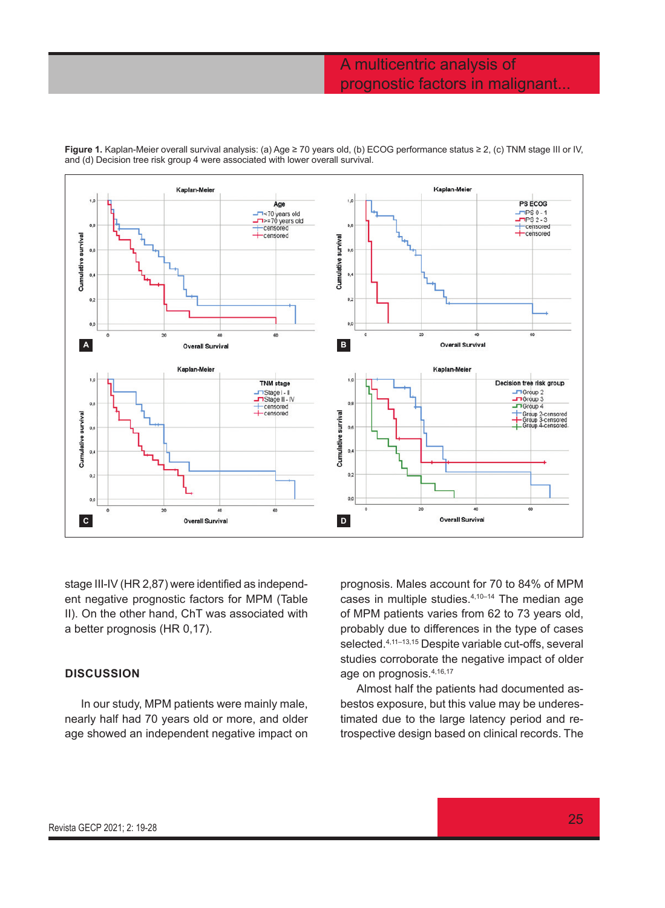## A multicentric analysis of prognostic factors in malignant...



**Figure 1.** Kaplan-Meier overall survival analysis: (a) Age ≥ 70 years old, (b) ECOG performance status ≥ 2, (c) TNM stage III or IV, and (d) Decision tree risk group 4 were associated with lower overall survival.

stage III-IV (HR 2,87) were identified as independent negative prognostic factors for MPM (Table II). On the other hand, ChT was associated with a better prognosis (HR 0,17).

### **DISCUSSION**

In our study, MPM patients were mainly male, nearly half had 70 years old or more, and older age showed an independent negative impact on prognosis. Males account for 70 to 84% of MPM cases in multiple studies.4,10–14 The median age of MPM patients varies from 62 to 73 years old, probably due to differences in the type of cases selected.<sup>4,11-13,15</sup> Despite variable cut-offs, several studies corroborate the negative impact of older age on prognosis.4,16,17

Almost half the patients had documented asbestos exposure, but this value may be underestimated due to the large latency period and retrospective design based on clinical records. The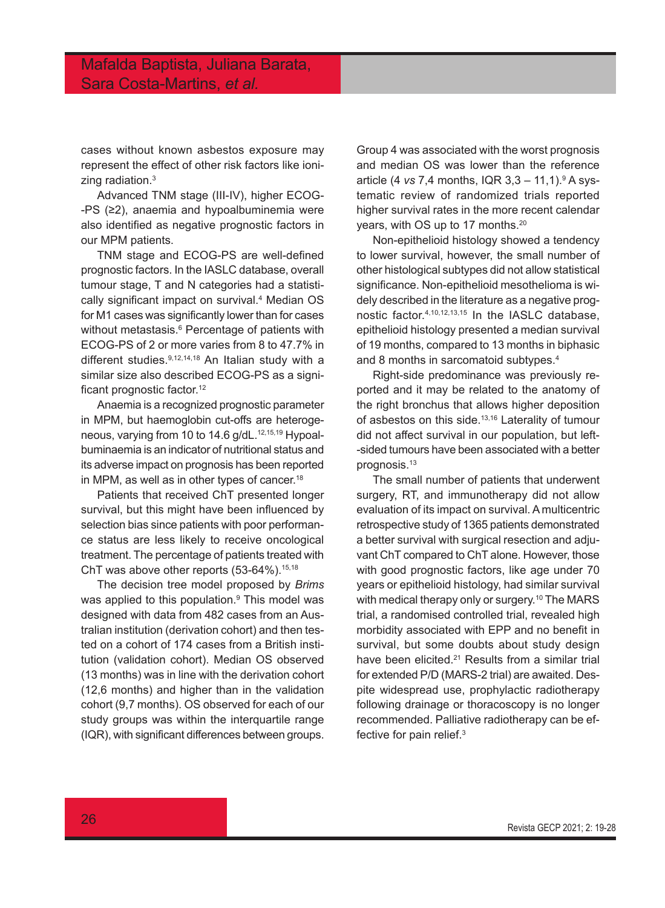cases without known asbestos exposure may represent the effect of other risk factors like ionizing radiation.<sup>3</sup>

Advanced TNM stage (III-IV), higher ECOG- -PS (≥2), anaemia and hypoalbuminemia were also identified as negative prognostic factors in our MPM patients.

TNM stage and ECOG-PS are well-defined prognostic factors. In the IASLC database, overall tumour stage, T and N categories had a statistically significant impact on survival.4 Median OS for M1 cases was significantly lower than for cases without metastasis.6 Percentage of patients with ECOG-PS of 2 or more varies from 8 to 47.7% in different studies.<sup>9,12,14,18</sup> An Italian study with a similar size also described ECOG-PS as a significant prognostic factor.<sup>12</sup>

Anaemia is a recognized prognostic parameter in MPM, but haemoglobin cut-offs are heterogeneous, varying from 10 to 14.6  $q/dL$ .<sup>12,15,19</sup> Hypoalbuminaemia is an indicator of nutritional status and its adverse impact on prognosis has been reported in MPM, as well as in other types of cancer.<sup>18</sup>

Patients that received ChT presented longer survival, but this might have been influenced by selection bias since patients with poor performance status are less likely to receive oncological treatment. The percentage of patients treated with ChT was above other reports  $(53-64%)$ .<sup>15,18</sup>

The decision tree model proposed by *Brims* was applied to this population.9 This model was designed with data from 482 cases from an Australian institution (derivation cohort) and then tested on a cohort of 174 cases from a British institution (validation cohort). Median OS observed (13 months) was in line with the derivation cohort (12,6 months) and higher than in the validation cohort (9,7 months). OS observed for each of our study groups was within the interquartile range (IQR), with significant differences between groups.

Group 4 was associated with the worst prognosis and median OS was lower than the reference article (4 *vs* 7,4 months, IQR 3,3 – 11,1).<sup>9</sup> A systematic review of randomized trials reported higher survival rates in the more recent calendar years, with OS up to 17 months.<sup>20</sup>

Non-epithelioid histology showed a tendency to lower survival, however, the small number of other histological subtypes did not allow statistical significance. Non-epithelioid mesothelioma is widely described in the literature as a negative prognostic factor.4,10,12,13,15 In the IASLC database, epithelioid histology presented a median survival of 19 months, compared to 13 months in biphasic and 8 months in sarcomatoid subtypes.4

Right-side predominance was previously reported and it may be related to the anatomy of the right bronchus that allows higher deposition of asbestos on this side.<sup>13,16</sup> Laterality of tumour did not affect survival in our population, but left- -sided tumours have been associated with a better prognosis.13

The small number of patients that underwent surgery, RT, and immunotherapy did not allow evaluation of its impact on survival. A multicentric retrospective study of 1365 patients demonstrated a better survival with surgical resection and adjuvant ChT compared to ChT alone. However, those with good prognostic factors, like age under 70 years or epithelioid histology, had similar survival with medical therapy only or surgery.<sup>10</sup> The MARS trial, a randomised controlled trial, revealed high morbidity associated with EPP and no benefit in survival, but some doubts about study design have been elicited.<sup>21</sup> Results from a similar trial for extended P/D (MARS-2 trial) are awaited. Despite widespread use, prophylactic radiotherapy following drainage or thoracoscopy is no longer recommended. Palliative radiotherapy can be effective for pain relief.3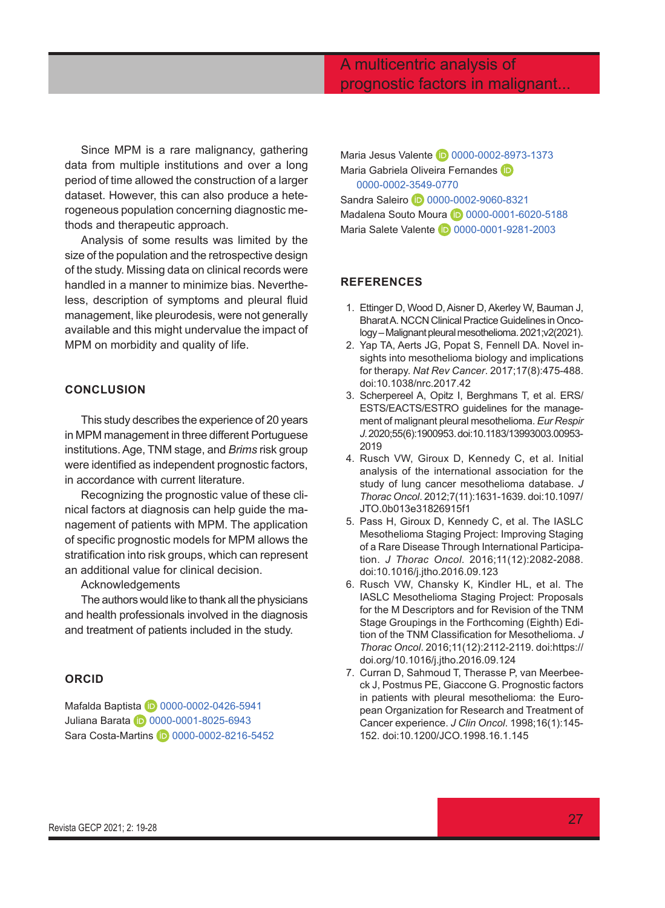## A multicentric analysis of prognostic factors in malignant...

Since MPM is a rare malignancy, gathering data from multiple institutions and over a long period of time allowed the construction of a larger dataset. However, this can also produce a heterogeneous population concerning diagnostic methods and therapeutic approach.

Analysis of some results was limited by the size of the population and the retrospective design of the study. Missing data on clinical records were handled in a manner to minimize bias. Nevertheless, description of symptoms and pleural fluid management, like pleurodesis, were not generally available and this might undervalue the impact of MPM on morbidity and quality of life.

### **CONCLUSION**

This study describes the experience of 20 years in MPM management in three different Portuguese institutions. Age, TNM stage, and *Brims* risk group were identified as independent prognostic factors, in accordance with current literature.

Recognizing the prognostic value of these clinical factors at diagnosis can help guide the management of patients with MPM. The application of specific prognostic models for MPM allows the stratification into risk groups, which can represent an additional value for clinical decision.

Acknowledgements

The authors would like to thank all the physicians and health professionals involved in the diagnosis and treatment of patients included in the study.

### **ORCID**

Mafalda Baptista **D** [0000-0002-0426-5941](https://orcid.org/0000-0002-0426-5941) Juliana Barata **D** [0000-0001-8025-6943](https://orcid.org/0000-0001-8025-6943) Sara Costa-Martins **D** [0000-0002-8216-5452](https://orcid.org/0000-0002-8216-5452)

Maria Jesus Valente **10** [0000-0002-8973-1373](https://orcid.org/0000-0002-8973-1373) MariaGabriela Oliveira Fernandes iD [0000-0002-3549-0770](https://orcid.org/0000-0002-3549-0770) Sandra Saleiro **D** [0000-0002-9060-8321](https://orcid.org/0000-0002-9060-8321) Madalena Souto Moura **D** [0000-0001-6020-5188](https://orcid.org/0000-0001-6020-5188) Maria Salete Valente **10** [0000-0001-9281-2003](https://orcid.org/0000-0001-9281-2003)

### **REFERENCES**

- 1. Ettinger D, Wood D, Aisner D, Akerley W, Bauman J, Bharat A. NCCN Clinical Practice Guidelines in Oncology – Malignant pleural mesothelioma. 2021;v2(2021).
- 2. Yap TA, Aerts JG, Popat S, Fennell DA. Novel insights into mesothelioma biology and implications for therapy. *Nat Rev Cancer*. 2017;17(8):475-488. doi:10.1038/nrc.2017.42
- 3. Scherpereel A, Opitz I, Berghmans T, et al. ERS/ ESTS/EACTS/ESTRO guidelines for the management of malignant pleural mesothelioma. *Eur Respir J*. 2020;55(6):1900953. doi:10.1183/13993003.00953- 2019
- 4. Rusch VW, Giroux D, Kennedy C, et al. Initial analysis of the international association for the study of lung cancer mesothelioma database. *J Thorac Oncol*. 2012;7(11):1631-1639. doi:10.1097/ JTO.0b013e31826915f1
- 5. Pass H, Giroux D, Kennedy C, et al. The IASLC Mesothelioma Staging Project: Improving Staging of a Rare Disease Through International Participation. *J Thorac Oncol*. 2016;11(12):2082-2088. doi:10.1016/j.jtho.2016.09.123
- 6. Rusch VW, Chansky K, Kindler HL, et al. The IASLC Mesothelioma Staging Project: Proposals for the M Descriptors and for Revision of the TNM Stage Groupings in the Forthcoming (Eighth) Edition of the TNM Classification for Mesothelioma. *J Thorac Oncol*. 2016;11(12):2112-2119. doi:https:// doi.org/10.1016/j.jtho.2016.09.124
- 7. Curran D, Sahmoud T, Therasse P, van Meerbeeck J, Postmus PE, Giaccone G. Prognostic factors in patients with pleural mesothelioma: the European Organization for Research and Treatment of Cancer experience. *J Clin Oncol*. 1998;16(1):145- 152. doi:10.1200/JCO.1998.16.1.145